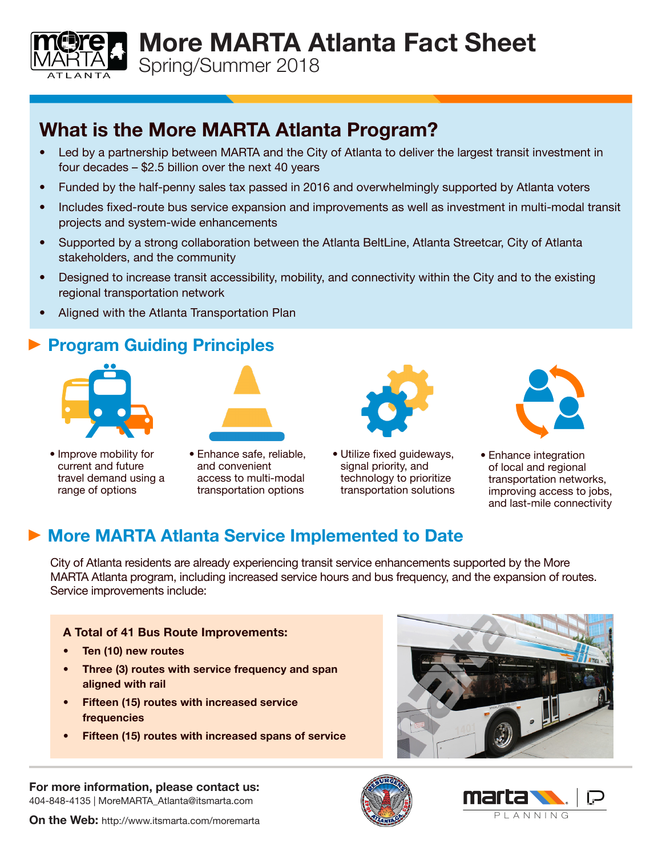Spring/Summer 2018

## What is the More MARTA Atlanta Program?

• Led by a partnership between MARTA and the City of Atlanta to deliver the largest transit investment in four decades – \$2.5 billion over the next 40 years

More MARTA Atlanta Fact Sheet

- Funded by the half-penny sales tax passed in 2016 and overwhelmingly supported by Atlanta voters
- Includes fixed-route bus service expansion and improvements as well as investment in multi-modal transit projects and system-wide enhancements
- Supported by a strong collaboration between the Atlanta BeltLine, Atlanta Streetcar, City of Atlanta stakeholders, and the community
- Designed to increase transit accessibility, mobility, and connectivity within the City and to the existing regional transportation network
- Aligned with the Atlanta Transportation Plan

### **Program Guiding Principles**



TI ANTA

- Improve mobility for current and future travel demand using a range of options
- 
- Enhance safe, reliable, and convenient access to multi-modal transportation options



• Utilize fixed guideways, signal priority, and technology to prioritize transportation solutions



• Enhance integration of local and regional transportation networks, improving access to jobs, and last-mile connectivity

## ▶ More MARTA Atlanta Service Implemented to Date

City of Atlanta residents are already experiencing transit service enhancements supported by the More MARTA Atlanta program, including increased service hours and bus frequency, and the expansion of routes. Service improvements include:

#### A Total of 41 Bus Route Improvements:

- Ten (10) new routes
- Three (3) routes with service frequency and span aligned with rail
- Fifteen (15) routes with increased service frequencies
- Fifteen (15) routes with increased spans of service



For more information, please contact us: 404-848-4135 | MoreMARTA\_Atlanta@itsmarta.com